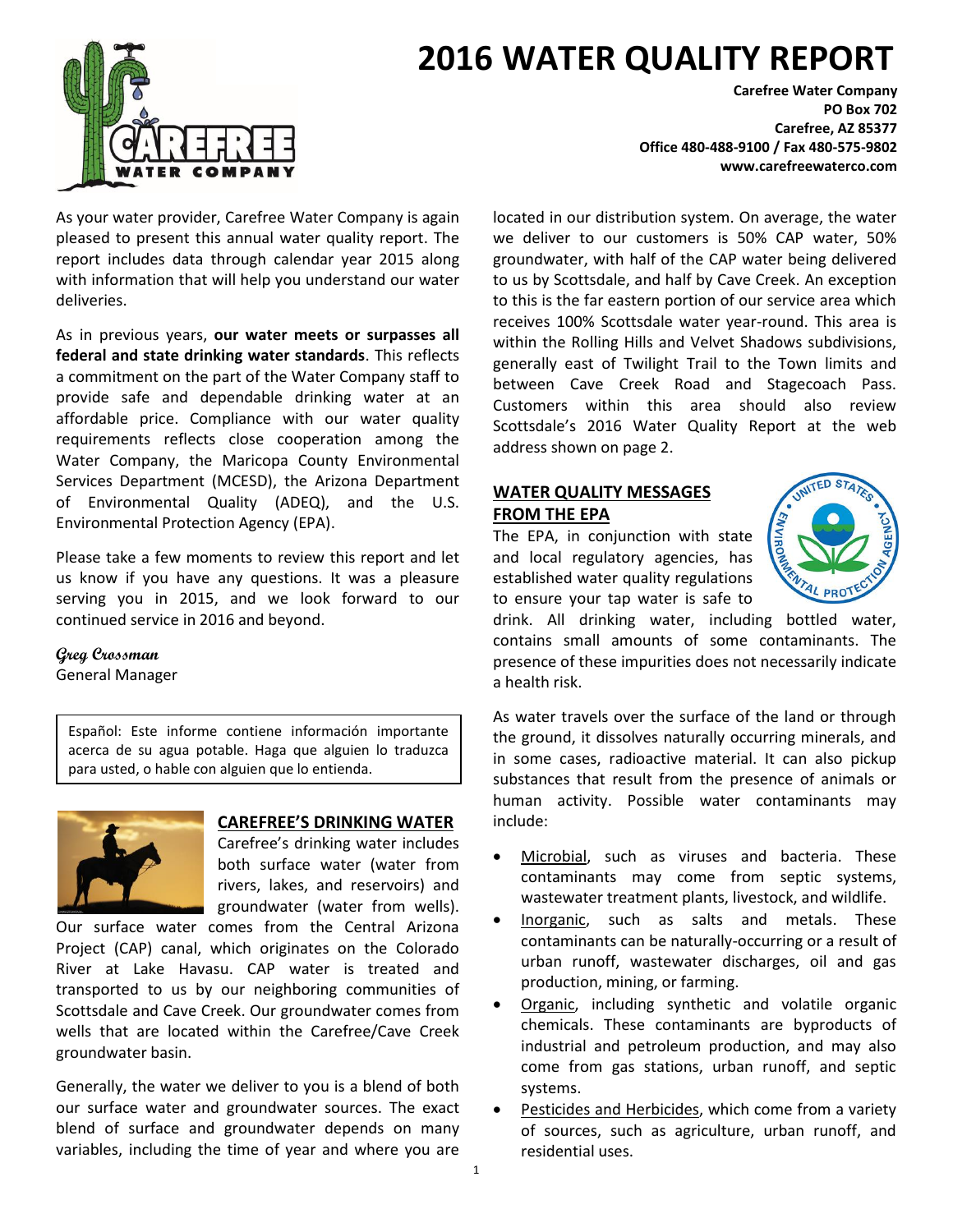## **2016 WATER QUALITY REPORT**

As your water provider, Carefree Water Company is again pleased to present this annual water quality report. The report includes data through calendar year 2015 along with information that will help you understand our water deliveries.

As in previous years, **our water meets or surpasses all federal and state drinking water standards**. This reflects a commitment on the part of the Water Company staff to provide safe and dependable drinking water at an affordable price. Compliance with our water quality requirements reflects close cooperation among the Water Company, the Maricopa County Environmental Services Department (MCESD), the Arizona Department of Environmental Quality (ADEQ), and the U.S. Environmental Protection Agency (EPA).

Please take a few moments to review this report and let us know if you have any questions. It was a pleasure serving you in 2015, and we look forward to our continued service in 2016 and beyond.

**Greg Crossman** General Manager

Español: Este informe contiene información importante acerca de su agua potable. Haga que alguien lo traduzca para usted, o hable con alguien que lo entienda.



#### **CAREFREE'S DRINKING WATER**

Carefree's drinking water includes both surface water (water from rivers, lakes, and reservoirs) and groundwater (water from wells).

Our surface water comes from the Central Arizona Project (CAP) canal, which originates on the Colorado River at Lake Havasu. CAP water is treated and transported to us by our neighboring communities of Scottsdale and Cave Creek. Our groundwater comes from wells that are located within the Carefree/Cave Creek groundwater basin.

Generally, the water we deliver to you is a blend of both our surface water and groundwater sources. The exact blend of surface and groundwater depends on many variables, including the time of year and where you are

**Carefree Water Company PO Box 702 Carefree, AZ 85377 Office 480-488-9100 / Fax 480-575-9802 www.carefreewaterco.com**

located in our distribution system. On average, the water we deliver to our customers is 50% CAP water, 50% groundwater, with half of the CAP water being delivered to us by Scottsdale, and half by Cave Creek. An exception to this is the far eastern portion of our service area which receives 100% Scottsdale water year-round. This area is within the Rolling Hills and Velvet Shadows subdivisions, generally east of Twilight Trail to the Town limits and between Cave Creek Road and Stagecoach Pass. Customers within this area should also review Scottsdale's 2016 Water Quality Report at the web address shown on page 2.

#### **WATER QUALITY MESSAGES FROM THE EPA**

The EPA, in conjunction with state and local regulatory agencies, has established water quality regulations to ensure your tap water is safe to



drink. All drinking water, including bottled water, contains small amounts of some contaminants. The presence of these impurities does not necessarily indicate a health risk.

As water travels over the surface of the land or through the ground, it dissolves naturally occurring minerals, and in some cases, radioactive material. It can also pickup substances that result from the presence of animals or human activity. Possible water contaminants may include:

- Microbial, such as viruses and bacteria. These contaminants may come from septic systems, wastewater treatment plants, livestock, and wildlife.
- Inorganic, such as salts and metals. These contaminants can be naturally-occurring or a result of urban runoff, wastewater discharges, oil and gas production, mining, or farming.
- Organic, including synthetic and volatile organic chemicals. These contaminants are byproducts of industrial and petroleum production, and may also come from gas stations, urban runoff, and septic systems.
- Pesticides and Herbicides, which come from a variety of sources, such as agriculture, urban runoff, and residential uses.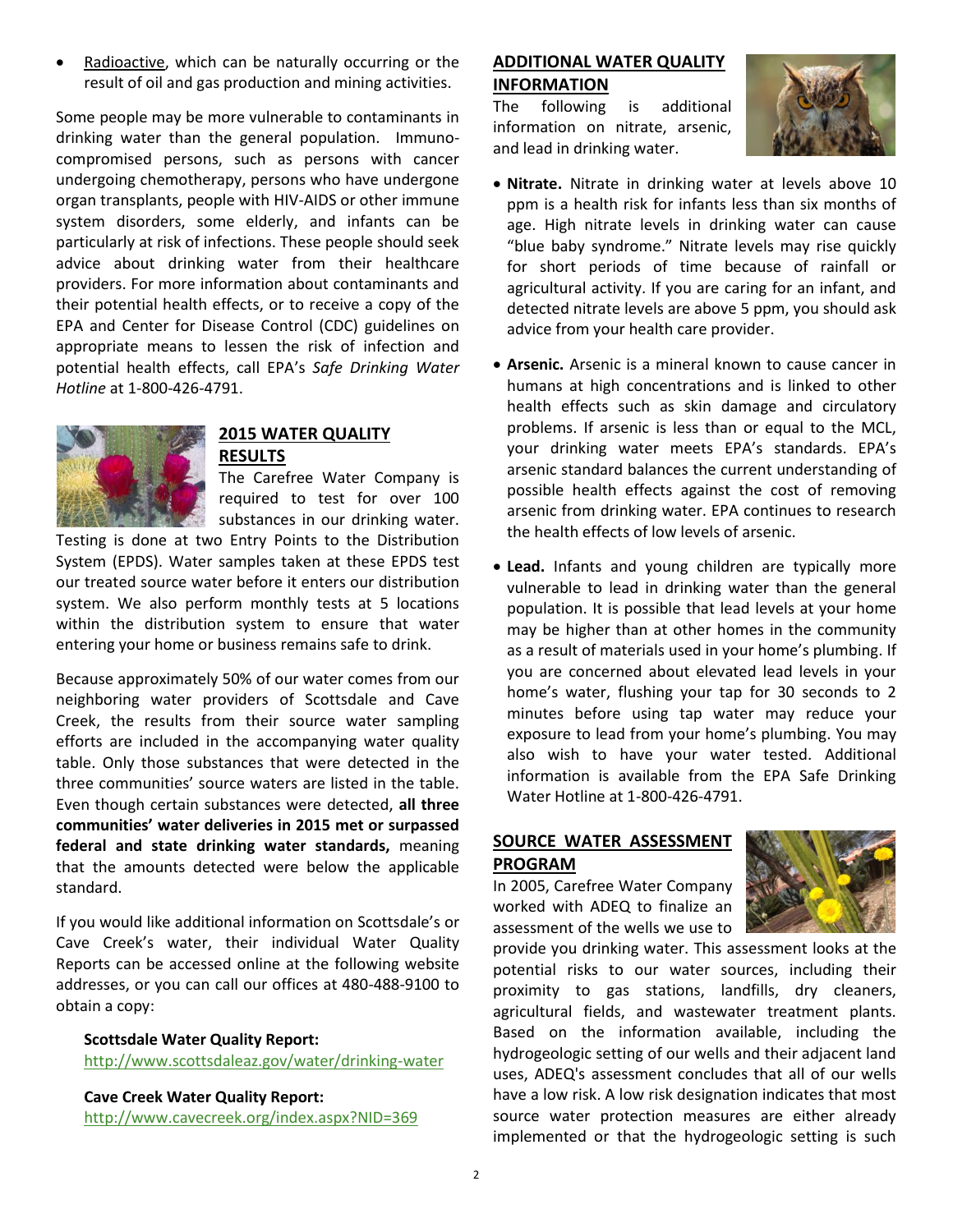Radioactive, which can be naturally occurring or the result of oil and gas production and mining activities.

Some people may be more vulnerable to contaminants in drinking water than the general population. Immunocompromised persons, such as persons with cancer undergoing chemotherapy, persons who have undergone organ transplants, people with HIV-AIDS or other immune system disorders, some elderly, and infants can be particularly at risk of infections. These people should seek advice about drinking water from their healthcare providers. For more information about contaminants and their potential health effects, or to receive a copy of the EPA and Center for Disease Control (CDC) guidelines on appropriate means to lessen the risk of infection and potential health effects, call EPA's *Safe Drinking Water Hotline* at 1-800-426-4791.



#### **2015 WATER QUALITY RESULTS**

The Carefree Water Company is required to test for over 100 substances in our drinking water.

Testing is done at two Entry Points to the Distribution System (EPDS). Water samples taken at these EPDS test our treated source water before it enters our distribution system. We also perform monthly tests at 5 locations within the distribution system to ensure that water entering your home or business remains safe to drink.

Because approximately 50% of our water comes from our neighboring water providers of Scottsdale and Cave Creek, the results from their source water sampling efforts are included in the accompanying water quality table. Only those substances that were detected in the three communities' source waters are listed in the table. Even though certain substances were detected, **all three communities' water deliveries in 2015 met or surpassed federal and state drinking water standards,** meaning that the amounts detected were below the applicable standard.

If you would like additional information on Scottsdale's or Cave Creek's water, their individual Water Quality Reports can be accessed online at the following website addresses, or you can call our offices at 480-488-9100 to obtain a copy:

#### **Scottsdale Water Quality Report:**

<http://www.scottsdaleaz.gov/water/drinking-water>

**Cave Creek Water Quality Report:**

<http://www.cavecreek.org/index.aspx?NID=369>

#### **ADDITIONAL WATER QUALITY INFORMATION**

The following is additional information on nitrate, arsenic, and lead in drinking water.



- **Nitrate.** Nitrate in drinking water at levels above 10 ppm is a health risk for infants less than six months of age. High nitrate levels in drinking water can cause "blue baby syndrome." Nitrate levels may rise quickly for short periods of time because of rainfall or agricultural activity. If you are caring for an infant, and detected nitrate levels are above 5 ppm, you should ask advice from your health care provider.
- **Arsenic.** Arsenic is a mineral known to cause cancer in humans at high concentrations and is linked to other health effects such as skin damage and circulatory problems. If arsenic is less than or equal to the MCL, your drinking water meets EPA's standards. EPA's arsenic standard balances the current understanding of possible health effects against the cost of removing arsenic from drinking water. EPA continues to research the health effects of low levels of arsenic.
- **Lead.** Infants and young children are typically more vulnerable to lead in drinking water than the general population. It is possible that lead levels at your home may be higher than at other homes in the community as a result of materials used in your home's plumbing. If you are concerned about elevated lead levels in your home's water, flushing your tap for 30 seconds to 2 minutes before using tap water may reduce your exposure to lead from your home's plumbing. You may also wish to have your water tested. Additional information is available from the EPA Safe Drinking Water Hotline at 1-800-426-4791.

### **SOURCE WATER ASSESSMENT PROGRAM**

In 2005, Carefree Water Company worked with ADEQ to finalize an assessment of the wells we use to



provide you drinking water. This assessment looks at the potential risks to our water sources, including their proximity to gas stations, landfills, dry cleaners, agricultural fields, and wastewater treatment plants. Based on the information available, including the hydrogeologic setting of our wells and their adjacent land uses, ADEQ's assessment concludes that all of our wells have a low risk. A low risk designation indicates that most source water protection measures are either already implemented or that the hydrogeologic setting is such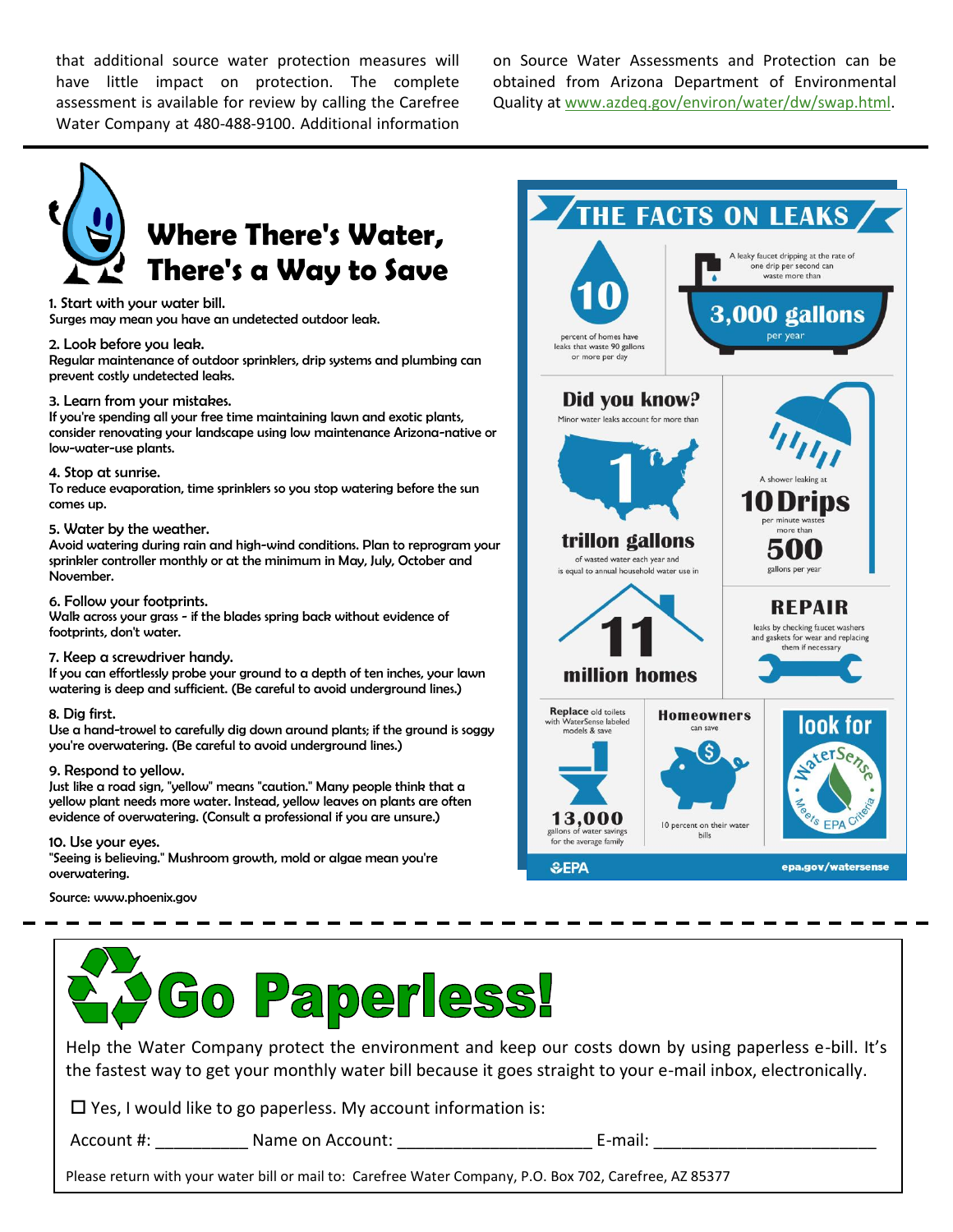that additional source water protection measures will have little impact on protection. The complete assessment is available for review by calling the Carefree Water Company at 480-488-9100. Additional information

on Source Water Assessments and Protection can be obtained from Arizona Department of Environmental Quality at [www.azdeq.gov/environ/water/dw/swap.html.](http://www.azdeq.gov/environ/water/dw/swap.html)



## **Where There's Water, There's a Way to Save**

1. Start with your water bill.

Surges may mean you have an undetected outdoor leak.

#### 2. Look before you leak.

Regular maintenance of outdoor sprinklers, drip systems and plumbing can prevent costly undetected leaks.

#### 3. Learn from your mistakes.

If you're spending all your free time maintaining lawn and exotic plants, consider renovating your landscape using low maintenance Arizona-native or low-water-use plants.

#### 4. Stop at sunrise.

To reduce evaporation, time sprinklers so you stop watering before the sun comes up.

#### 5. Water by the weather.

Avoid watering during rain and high-wind conditions. Plan to reprogram your sprinkler controller monthly or at the minimum in May, July, October and November.

#### 6. Follow your footprints.

Walk across your grass - if the blades spring back without evidence of footprints, don't water.

#### 7. Keep a screwdriver handy.

If you can effortlessly probe your ground to a depth of ten inches, your lawn watering is deep and sufficient. (Be careful to avoid underground lines.)

#### 8. Dig first.

Use a hand-trowel to carefully dig down around plants; if the ground is soggy you're overwatering. (Be careful to avoid underground lines.)

#### 9. Respond to yellow.

Just like a road sign, "yellow" means "caution." Many people think that a yellow plant needs more water. Instead, yellow leaves on plants are often evidence of overwatering. (Consult a professional if you are unsure.)

#### 10. Use your eyes.

"Seeing is believing." Mushroom growth, mold or algae mean you're overwatering.

Source: www.phoenix.gov



# **Paperless!**

Help the Water Company protect the environment and keep our costs down by using paperless e-bill. It's the fastest way to get your monthly water bill because it goes straight to your e-mail inbox, electronically.

 $\Box$  Yes, I would like to go paperless. My account information is:

Account #: \_\_\_\_\_\_\_\_\_\_ Name on Account: \_\_\_\_\_\_\_\_\_\_\_\_\_\_\_\_\_\_\_\_\_ E-mail: \_\_\_\_\_\_\_\_\_\_\_\_\_\_\_\_\_\_\_\_\_\_\_\_

Please return with your water bill or mail to: Carefree Water Company, P.O. Box 702, Carefree, AZ 85377